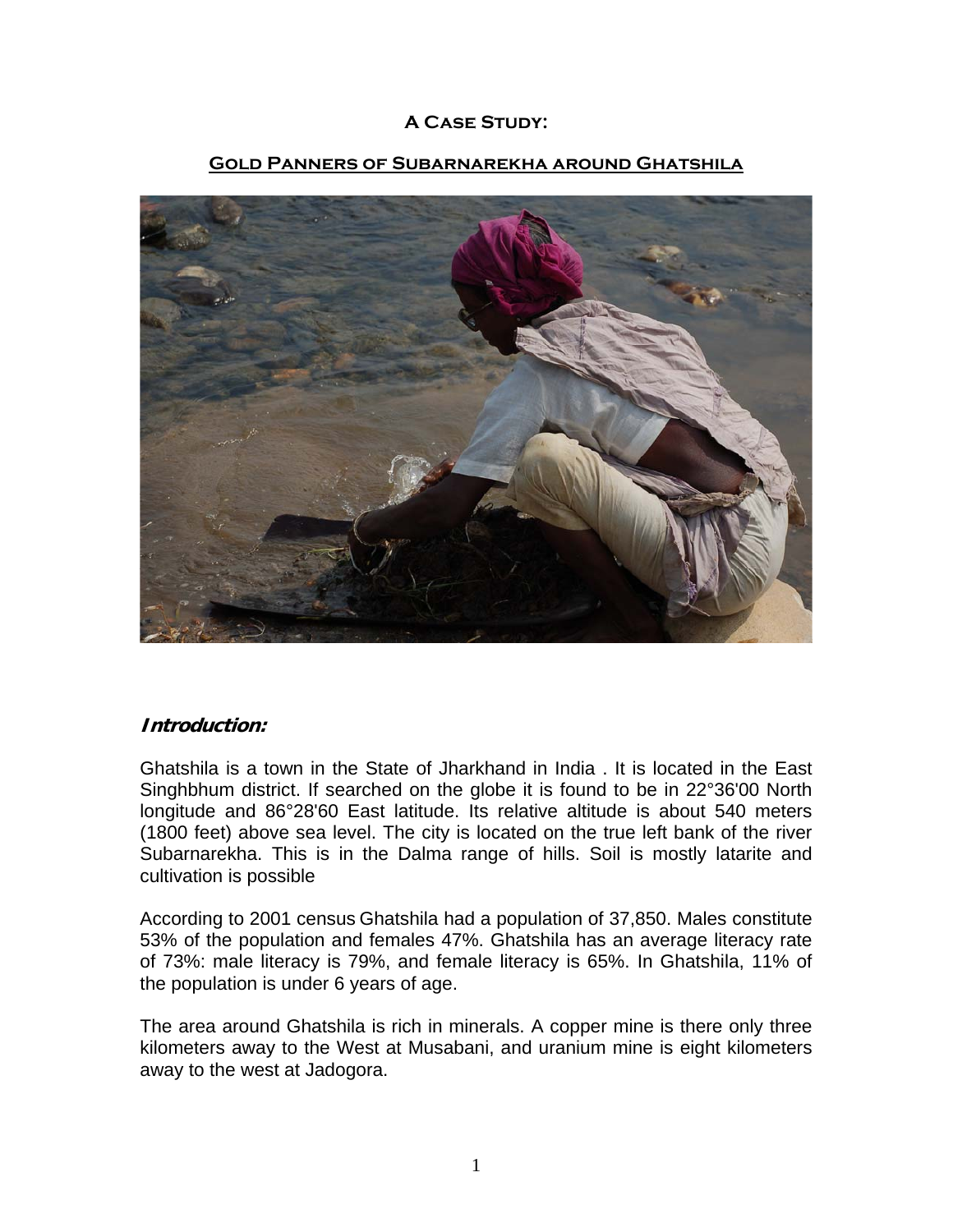# **A Case Study:**



#### **Gold Panners of Subarnarekha around Ghatshila**

## **Introduction:**

Ghatshila is a town in the State of [Jharkhand](http://en.wikipedia.org/wiki/Jharkhand) in [India](http://en.wikipedia.org/wiki/India) . It is located in the East Singhbhum district. If searched on the globe it is found to be in 22°36'00 North longitude and 86°28'60 East latitude. Its relative altitude is about 540 meters (1800 feet) above sea level. The city is located on the true left bank of the river Subarnarekha. This is in the Dalma range of hills. Soil is mostly latarite and cultivation is possible

According to 2001 census Ghatshila had a population of 37,850. Males constitute 53% of the population and females 47%. Ghatshila has an average literacy rate of 73%: male literacy is 79%, and female literacy is 65%. In Ghatshila, 11% of the population is under 6 years of age.

The area around Ghatshila is rich in minerals. A copper mine is there only three kilometers away to the West at Musabani, and uranium mine is eight kilometers away to the west at Jadogora.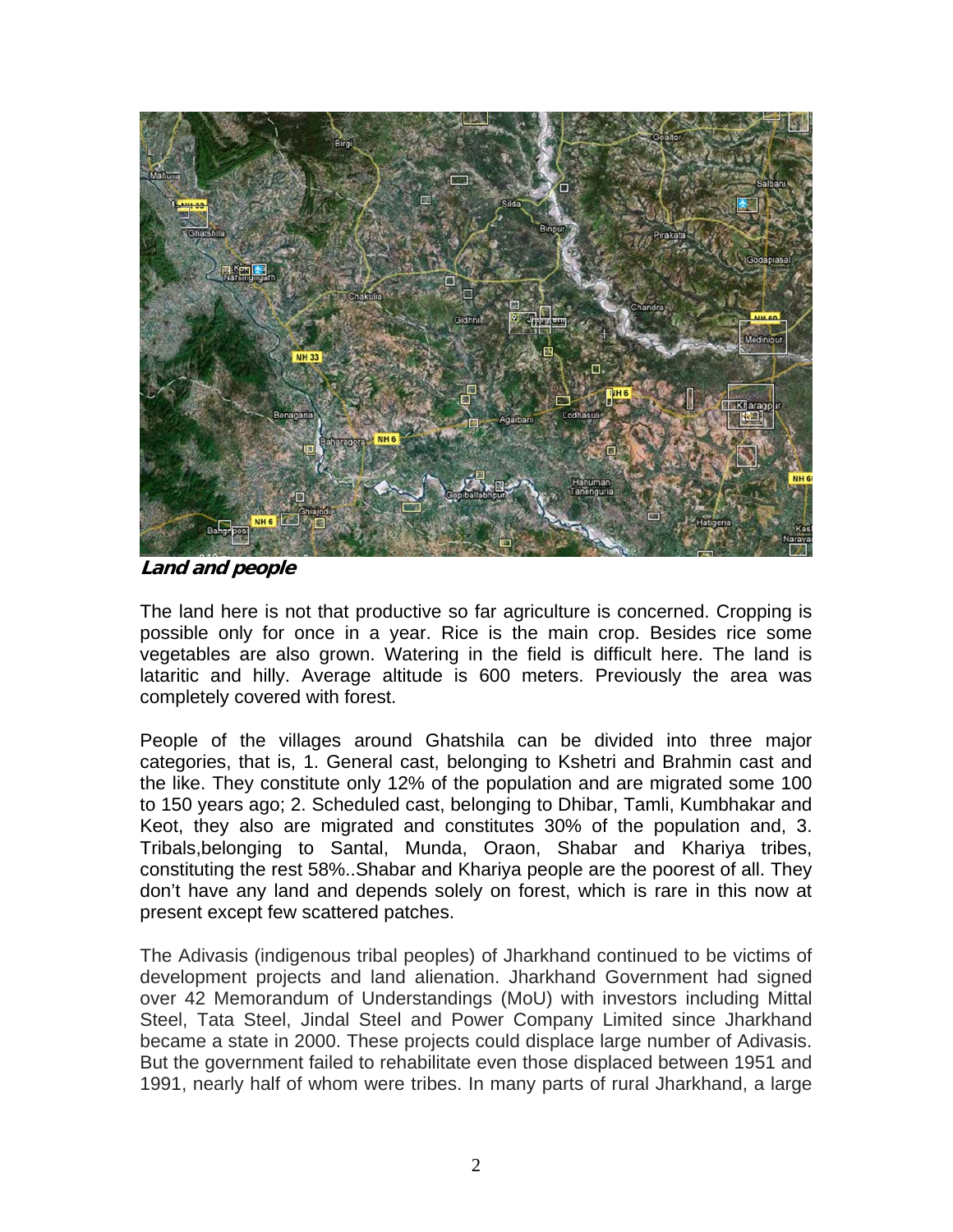

**Land and people**

The land here is not that productive so far agriculture is concerned. Cropping is possible only for once in a year. Rice is the main crop. Besides rice some vegetables are also grown. Watering in the field is difficult here. The land is lataritic and hilly. Average altitude is 600 meters. Previously the area was completely covered with forest.

People of the villages around Ghatshila can be divided into three major categories, that is, 1. General cast, belonging to Kshetri and Brahmin cast and the like. They constitute only 12% of the population and are migrated some 100 to 150 years ago; 2. Scheduled cast, belonging to Dhibar, Tamli, Kumbhakar and Keot, they also are migrated and constitutes 30% of the population and, 3. Tribals,belonging to Santal, Munda, Oraon, Shabar and Khariya tribes, constituting the rest 58%..Shabar and Khariya people are the poorest of all. They don't have any land and depends solely on forest, which is rare in this now at present except few scattered patches.

The Adivasis (indigenous tribal peoples) of Jharkhand continued to be victims of development projects and land alienation. Jharkhand Government had signed over 42 Memorandum of Understandings (MoU) with investors including Mittal Steel, Tata Steel, Jindal Steel and Power Company Limited since Jharkhand became a state in 2000. These projects could displace large number of Adivasis. But the government failed to rehabilitate even those displaced between 1951 and 1991, nearly half of whom were tribes. In many parts of rural Jharkhand, a large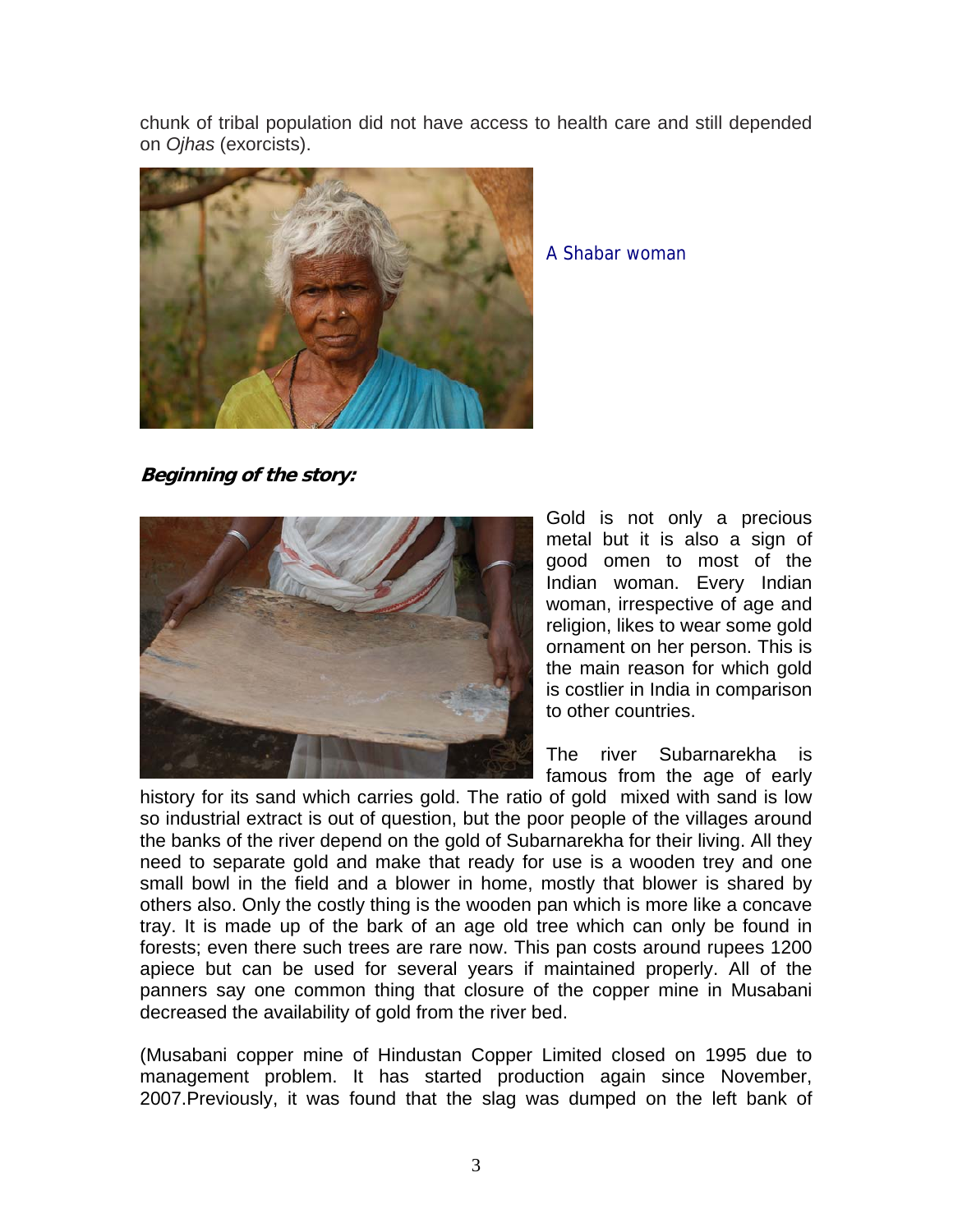chunk of tribal population did not have access to health care and still depended on *Ojhas* (exorcists).



A Shabar woman

**Beginning of the story:** 



Gold is not only a precious metal but it is also a sign of good omen to most of the Indian woman. Every Indian woman, irrespective of age and religion, likes to wear some gold ornament on her person. This is the main reason for which gold is costlier in India in comparison to other countries.

The river Subarnarekha is famous from the age of early

history for its sand which carries gold. The ratio of gold mixed with sand is low so industrial extract is out of question, but the poor people of the villages around the banks of the river depend on the gold of Subarnarekha for their living. All they need to separate gold and make that ready for use is a wooden trey and one small bowl in the field and a blower in home, mostly that blower is shared by others also. Only the costly thing is the wooden pan which is more like a concave tray. It is made up of the bark of an age old tree which can only be found in forests; even there such trees are rare now. This pan costs around rupees 1200 apiece but can be used for several years if maintained properly. All of the panners say one common thing that closure of the copper mine in Musabani decreased the availability of gold from the river bed.

(Musabani copper mine of Hindustan Copper Limited closed on 1995 due to management problem. It has started production again since November, 2007.Previously, it was found that the slag was dumped on the left bank of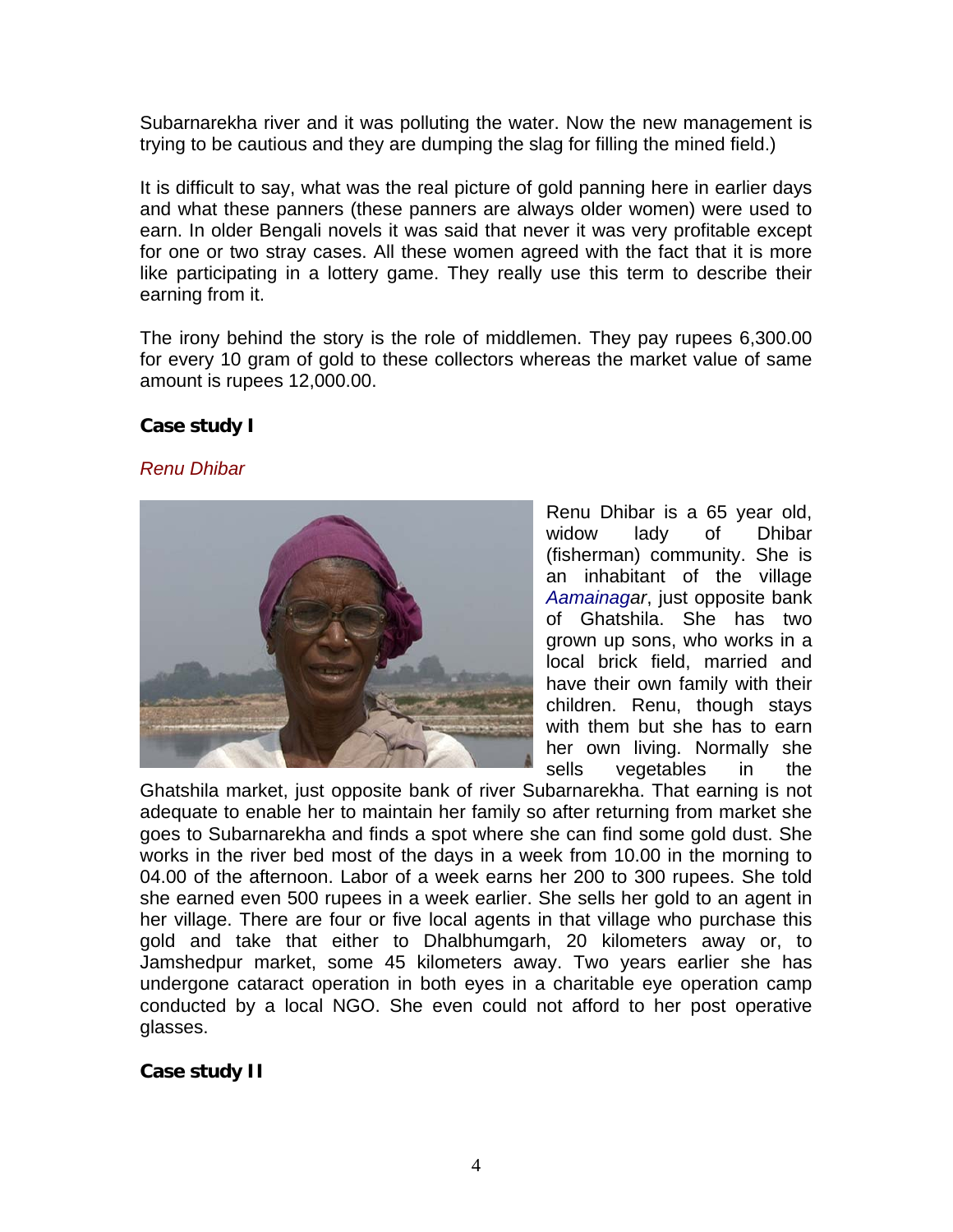Subarnarekha river and it was polluting the water. Now the new management is trying to be cautious and they are dumping the slag for filling the mined field.)

It is difficult to say, what was the real picture of gold panning here in earlier days and what these panners (these panners are always older women) were used to earn. In older Bengali novels it was said that never it was very profitable except for one or two stray cases. All these women agreed with the fact that it is more like participating in a lottery game. They really use this term to describe their earning from it.

The irony behind the story is the role of middlemen. They pay rupees 6,300.00 for every 10 gram of gold to these collectors whereas the market value of same amount is rupees 12,000.00.

## **Case study I**

#### *Renu Dhibar*



Renu Dhibar is a 65 year old, widow lady of Dhibar (fisherman) community. She is an inhabitant of the village *Aamainagar*, just opposite bank of Ghatshila. She has two grown up sons, who works in a local brick field, married and have their own family with their children. Renu, though stays with them but she has to earn her own living. Normally she sells vegetables in the

Ghatshila market, just opposite bank of river Subarnarekha. That earning is not adequate to enable her to maintain her family so after returning from market she goes to Subarnarekha and finds a spot where she can find some gold dust. She works in the river bed most of the days in a week from 10.00 in the morning to 04.00 of the afternoon. Labor of a week earns her 200 to 300 rupees. She told she earned even 500 rupees in a week earlier. She sells her gold to an agent in her village. There are four or five local agents in that village who purchase this gold and take that either to Dhalbhumgarh, 20 kilometers away or, to Jamshedpur market, some 45 kilometers away. Two years earlier she has undergone cataract operation in both eyes in a charitable eye operation camp conducted by a local NGO. She even could not afford to her post operative glasses.

## **Case study II**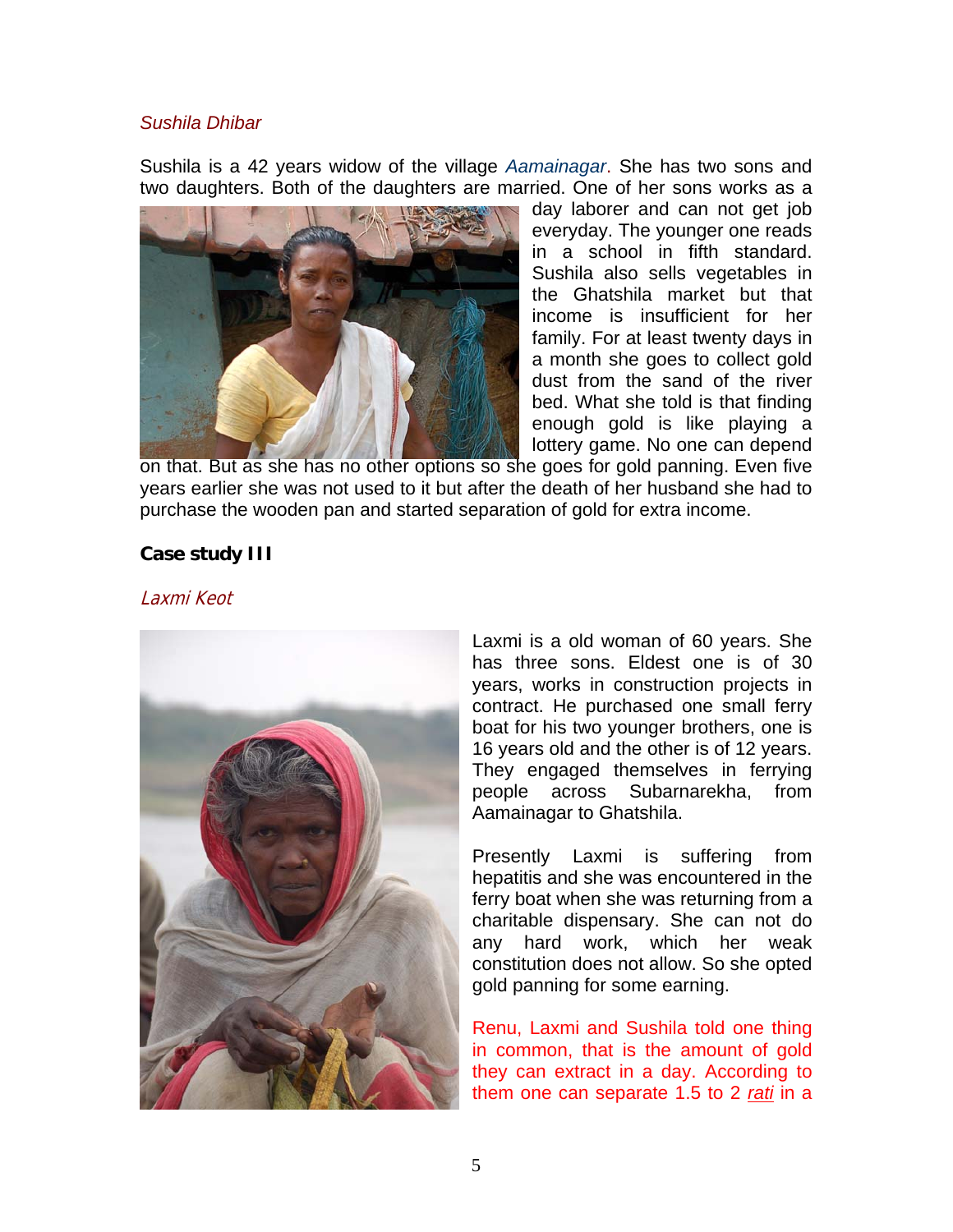#### *Sushila Dhibar*

Sushila is a 42 years widow of the village *Aamainagar*. She has two sons and two daughters. Both of the daughters are married. One of her sons works as a



day laborer and can not get job everyday. The younger one reads in a school in fifth standard. Sushila also sells vegetables in the Ghatshila market but that income is insufficient for her family. For at least twenty days in a month she goes to collect gold dust from the sand of the river bed. What she told is that finding enough gold is like playing a lottery game. No one can depend

on that. But as she has no other options so she goes for gold panning. Even five years earlier she was not used to it but after the death of her husband she had to purchase the wooden pan and started separation of gold for extra income.

#### **Case study III**

Laxmi Keot



Laxmi is a old woman of 60 years. She has three sons. Eldest one is of 30 years, works in construction projects in contract. He purchased one small ferry boat for his two younger brothers, one is 16 years old and the other is of 12 years. They engaged themselves in ferrying people across Subarnarekha, from Aamainagar to Ghatshila.

Presently Laxmi is suffering from hepatitis and she was encountered in the ferry boat when she was returning from a charitable dispensary. She can not do any hard work, which her weak constitution does not allow. So she opted gold panning for some earning.

Renu, Laxmi and Sushila told one thing in common, that is the amount of gold they can extract in a day. According to them one can separate 1.5 to 2 *rati* in a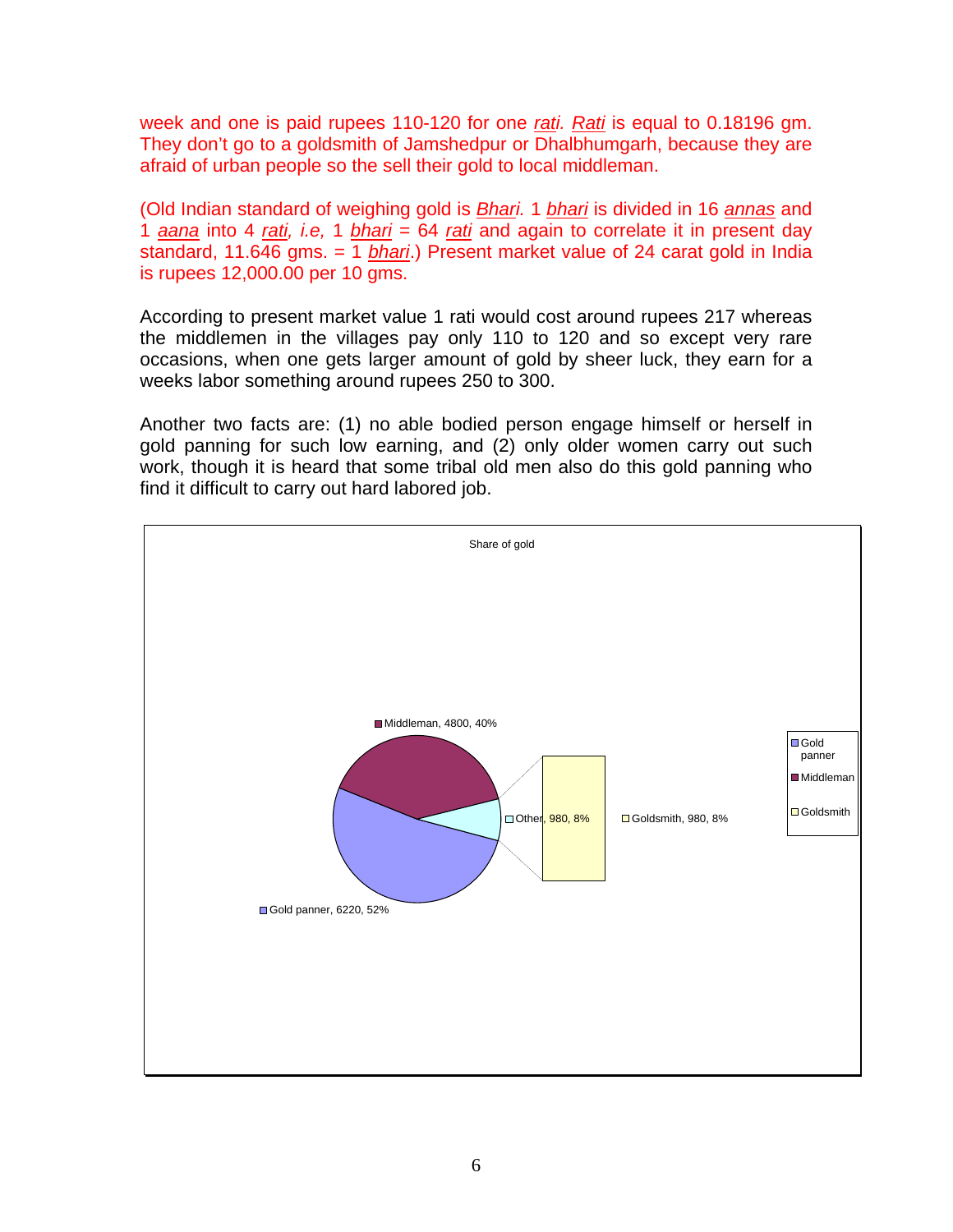week and one is paid rupees 110-120 for one *rati. Rati* is equal to 0.18196 gm. They don't go to a goldsmith of Jamshedpur or Dhalbhumgarh, because they are afraid of urban people so the sell their gold to local middleman.

(Old Indian standard of weighing gold is *Bhari.* 1 *bhari* is divided in 16 *annas* and 1 *aana* into 4 *rati, i.e,* 1 *bhari* = 64 *rati* and again to correlate it in present day standard, 11.646 gms. = 1 *bhari*.) Present market value of 24 carat gold in India is rupees 12,000.00 per 10 gms.

According to present market value 1 rati would cost around rupees 217 whereas the middlemen in the villages pay only 110 to 120 and so except very rare occasions, when one gets larger amount of gold by sheer luck, they earn for a weeks labor something around rupees 250 to 300.

Another two facts are: (1) no able bodied person engage himself or herself in gold panning for such low earning, and (2) only older women carry out such work, though it is heard that some tribal old men also do this gold panning who find it difficult to carry out hard labored job.

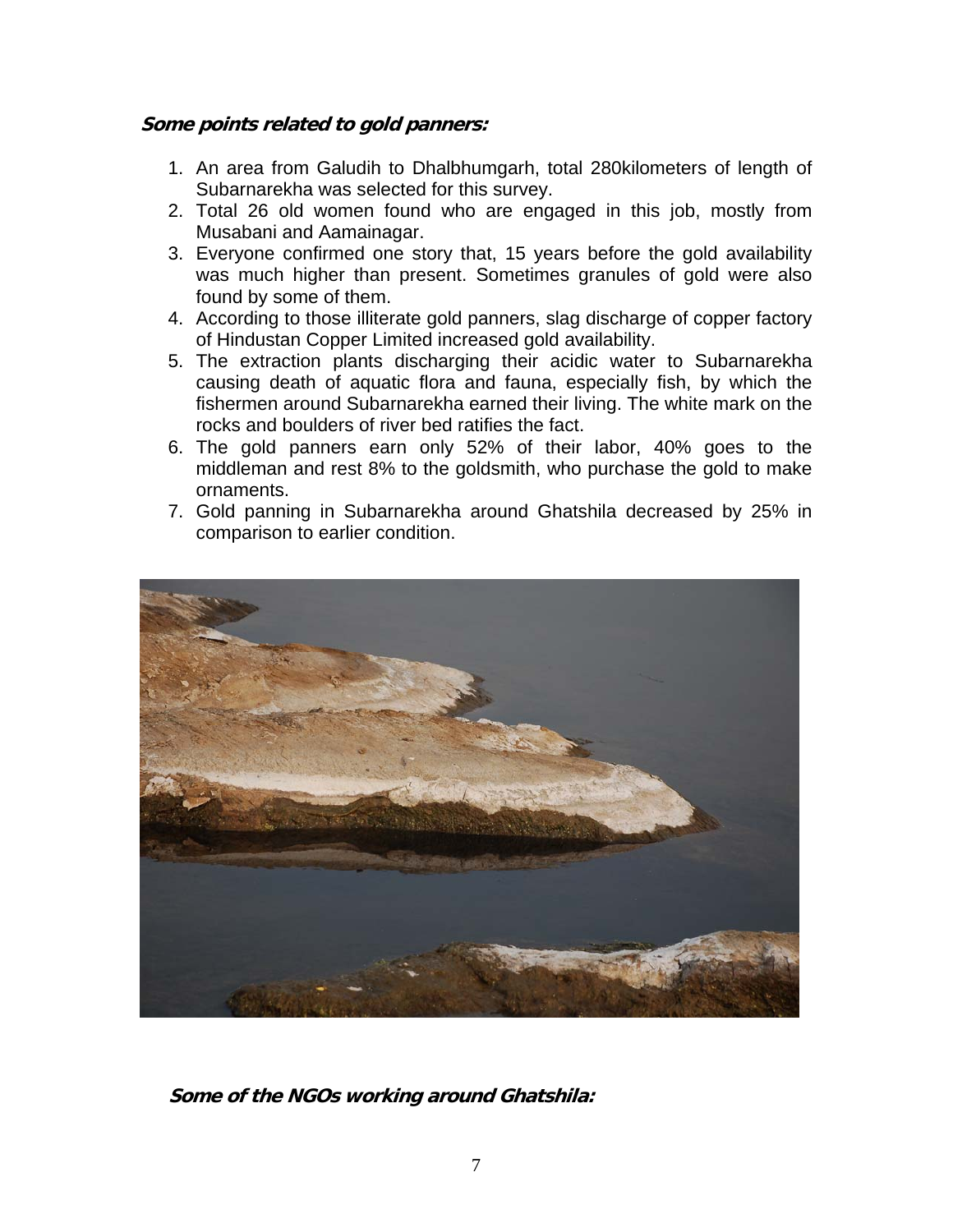# **Some points related to gold panners:**

- 1. An area from Galudih to Dhalbhumgarh, total 280kilometers of length of Subarnarekha was selected for this survey.
- 2. Total 26 old women found who are engaged in this job, mostly from Musabani and Aamainagar.
- 3. Everyone confirmed one story that, 15 years before the gold availability was much higher than present. Sometimes granules of gold were also found by some of them.
- 4. According to those illiterate gold panners, slag discharge of copper factory of Hindustan Copper Limited increased gold availability.
- 5. The extraction plants discharging their acidic water to Subarnarekha causing death of aquatic flora and fauna, especially fish, by which the fishermen around Subarnarekha earned their living. The white mark on the rocks and boulders of river bed ratifies the fact.
- 6. The gold panners earn only 52% of their labor, 40% goes to the middleman and rest 8% to the goldsmith, who purchase the gold to make ornaments.
- 7. Gold panning in Subarnarekha around Ghatshila decreased by 25% in comparison to earlier condition.



**Some of the NGOs working around Ghatshila:**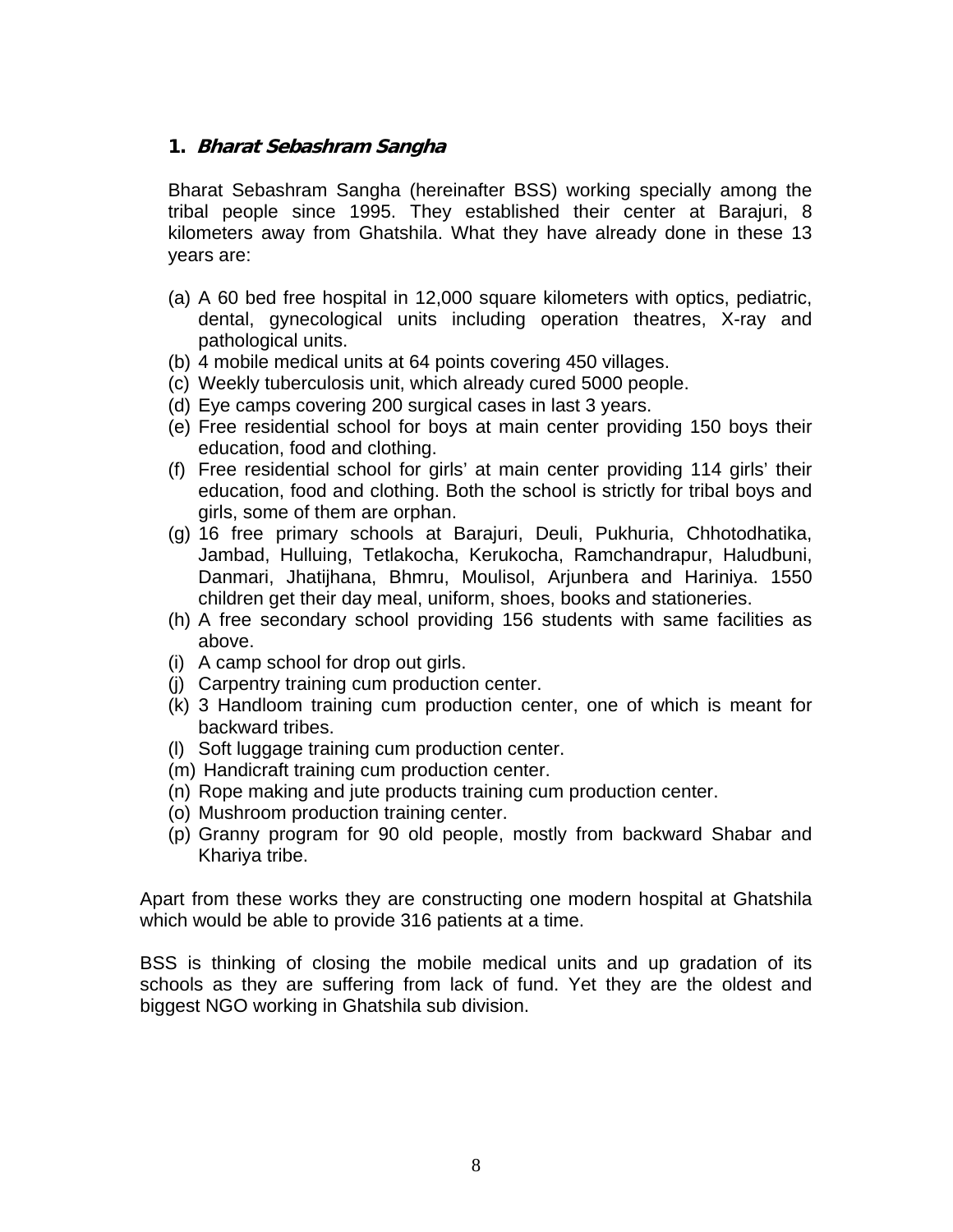## **1. Bharat Sebashram Sangha**

Bharat Sebashram Sangha (hereinafter BSS) working specially among the tribal people since 1995. They established their center at Barajuri, 8 kilometers away from Ghatshila. What they have already done in these 13 years are:

- (a) A 60 bed free hospital in 12,000 square kilometers with optics, pediatric, dental, gynecological units including operation theatres, X-ray and pathological units.
- (b) 4 mobile medical units at 64 points covering 450 villages.
- (c) Weekly tuberculosis unit, which already cured 5000 people.
- (d) Eye camps covering 200 surgical cases in last 3 years.
- (e) Free residential school for boys at main center providing 150 boys their education, food and clothing.
- (f) Free residential school for girls' at main center providing 114 girls' their education, food and clothing. Both the school is strictly for tribal boys and girls, some of them are orphan.
- (g) 16 free primary schools at Barajuri, Deuli, Pukhuria, Chhotodhatika, Jambad, Hulluing, Tetlakocha, Kerukocha, Ramchandrapur, Haludbuni, Danmari, Jhatijhana, Bhmru, Moulisol, Arjunbera and Hariniya. 1550 children get their day meal, uniform, shoes, books and stationeries.
- (h) A free secondary school providing 156 students with same facilities as above.
- (i) A camp school for drop out girls.
- (j) Carpentry training cum production center.
- (k) 3 Handloom training cum production center, one of which is meant for backward tribes.
- (l) Soft luggage training cum production center.
- (m) Handicraft training cum production center.
- (n) Rope making and jute products training cum production center.
- (o) Mushroom production training center.
- (p) Granny program for 90 old people, mostly from backward Shabar and Khariya tribe.

Apart from these works they are constructing one modern hospital at Ghatshila which would be able to provide 316 patients at a time.

BSS is thinking of closing the mobile medical units and up gradation of its schools as they are suffering from lack of fund. Yet they are the oldest and biggest NGO working in Ghatshila sub division.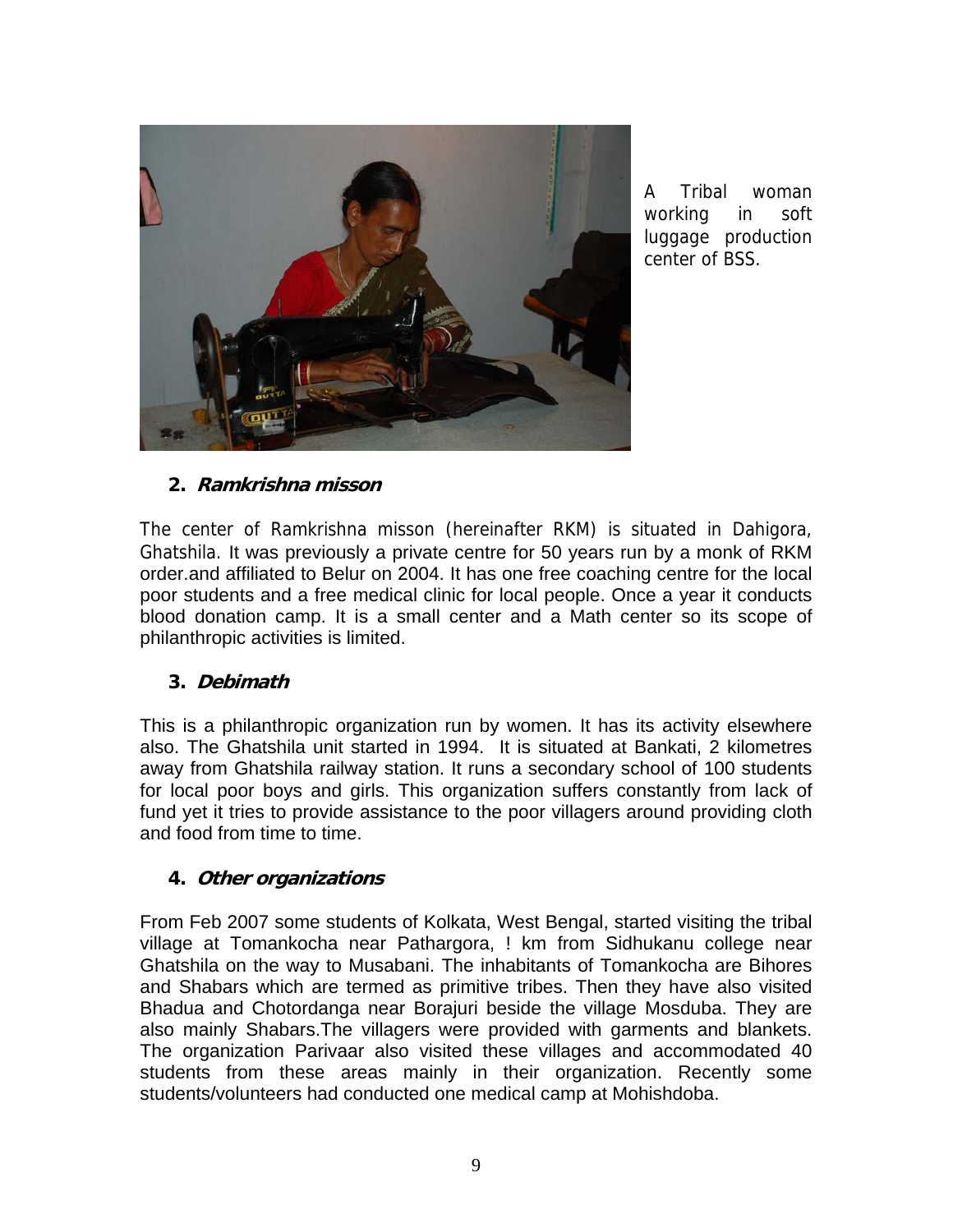

A Tribal woman working in soft luggage production center of BSS.

# **2. Ramkrishna misson**

The center of Ramkrishna misson (hereinafter RKM) is situated in Dahigora, Ghatshila. It was previously a private centre for 50 years run by a monk of RKM order.and affiliated to Belur on 2004. It has one free coaching centre for the local poor students and a free medical clinic for local people. Once a year it conducts blood donation camp. It is a small center and a Math center so its scope of philanthropic activities is limited.

## **3. Debimath**

This is a philanthropic organization run by women. It has its activity elsewhere also. The Ghatshila unit started in 1994. It is situated at Bankati, 2 kilometres away from Ghatshila railway station. It runs a secondary school of 100 students for local poor boys and girls. This organization suffers constantly from lack of fund yet it tries to provide assistance to the poor villagers around providing cloth and food from time to time.

## **4. Other organizations**

From Feb 2007 some students of Kolkata, West Bengal, started visiting the tribal village at Tomankocha near Pathargora, ! km from Sidhukanu college near Ghatshila on the way to Musabani. The inhabitants of Tomankocha are Bihores and Shabars which are termed as primitive tribes. Then they have also visited Bhadua and Chotordanga near Borajuri beside the village Mosduba. They are also mainly Shabars.The villagers were provided with garments and blankets. The organization Parivaar also visited these villages and accommodated 40 students from these areas mainly in their organization. Recently some students/volunteers had conducted one medical camp at Mohishdoba.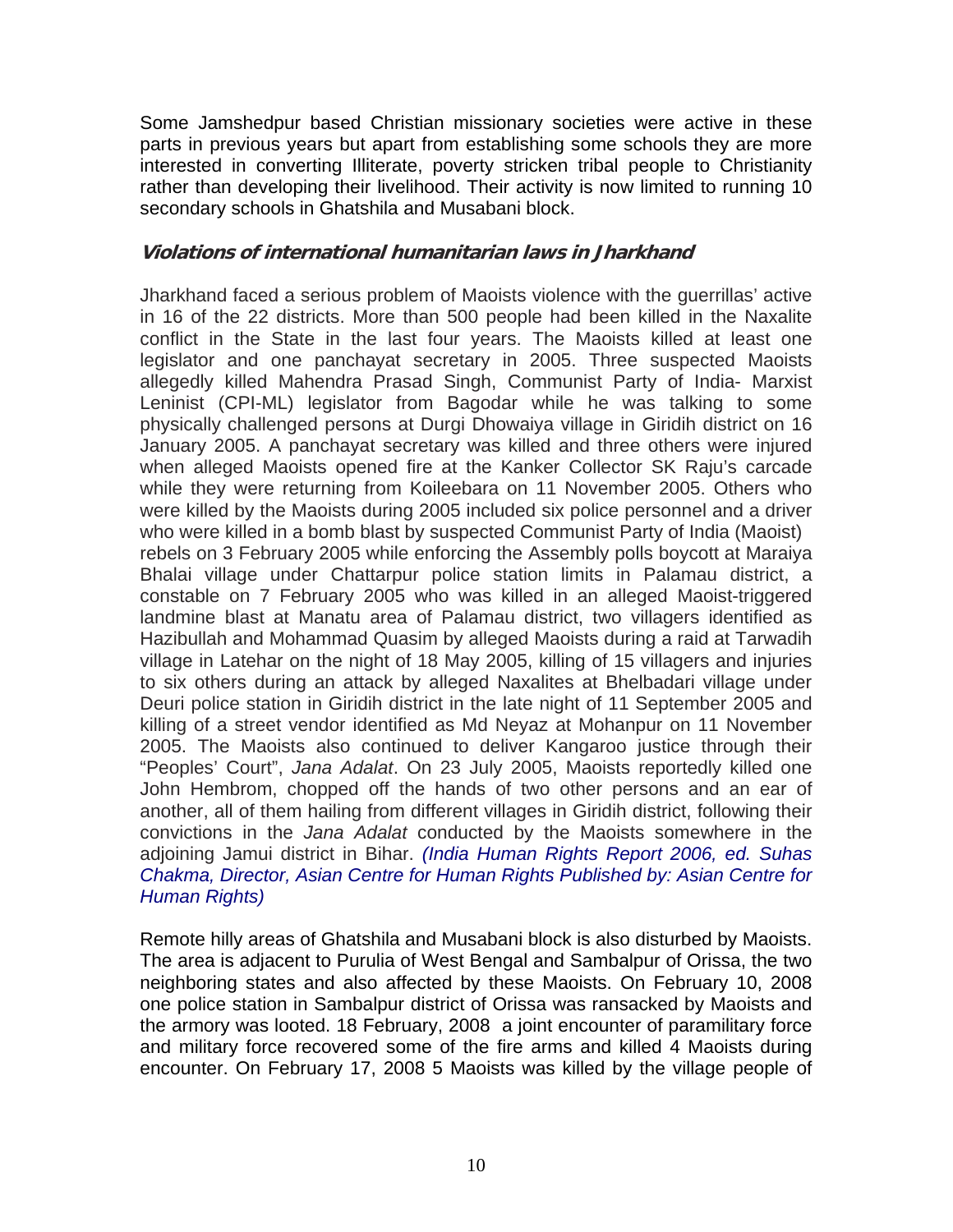Some Jamshedpur based Christian missionary societies were active in these parts in previous years but apart from establishing some schools they are more interested in converting Illiterate, poverty stricken tribal people to Christianity rather than developing their livelihood. Their activity is now limited to running 10 secondary schools in Ghatshila and Musabani block.

## **Violations of international humanitarian laws in Jharkhand**

Jharkhand faced a serious problem of Maoists violence with the guerrillas' active in 16 of the 22 districts. More than 500 people had been killed in the Naxalite conflict in the State in the last four years. The Maoists killed at least one legislator and one panchayat secretary in 2005. Three suspected Maoists allegedly killed Mahendra Prasad Singh, Communist Party of India- Marxist Leninist (CPI-ML) legislator from Bagodar while he was talking to some physically challenged persons at Durgi Dhowaiya village in Giridih district on 16 January 2005. A panchayat secretary was killed and three others were injured when alleged Maoists opened fire at the Kanker Collector SK Raju's carcade while they were returning from Koileebara on 11 November 2005. Others who were killed by the Maoists during 2005 included six police personnel and a driver who were killed in a bomb blast by suspected Communist Party of India (Maoist) rebels on 3 February 2005 while enforcing the Assembly polls boycott at Maraiya Bhalai village under Chattarpur police station limits in Palamau district, a constable on 7 February 2005 who was killed in an alleged Maoist-triggered landmine blast at Manatu area of Palamau district, two villagers identified as Hazibullah and Mohammad Quasim by alleged Maoists during a raid at Tarwadih village in Latehar on the night of 18 May 2005, killing of 15 villagers and injuries to six others during an attack by alleged Naxalites at Bhelbadari village under Deuri police station in Giridih district in the late night of 11 September 2005 and killing of a street vendor identified as Md Neyaz at Mohanpur on 11 November 2005. The Maoists also continued to deliver Kangaroo justice through their "Peoples' Court", *Jana Adalat*. On 23 July 2005, Maoists reportedly killed one John Hembrom, chopped off the hands of two other persons and an ear of another, all of them hailing from different villages in Giridih district, following their convictions in the *Jana Adalat* conducted by the Maoists somewhere in the adjoining Jamui district in Bihar. *(India Human Rights Report 2006, ed. Suhas Chakma, Director, Asian Centre for Human Rights Published by: Asian Centre for Human Rights)* 

Remote hilly areas of Ghatshila and Musabani block is also disturbed by Maoists. The area is adjacent to Purulia of West Bengal and Sambalpur of Orissa, the two neighboring states and also affected by these Maoists. On February 10, 2008 one police station in Sambalpur district of Orissa was ransacked by Maoists and the armory was looted. 18 February, 2008 a joint encounter of paramilitary force and military force recovered some of the fire arms and killed 4 Maoists during encounter. On February 17, 2008 5 Maoists was killed by the village people of